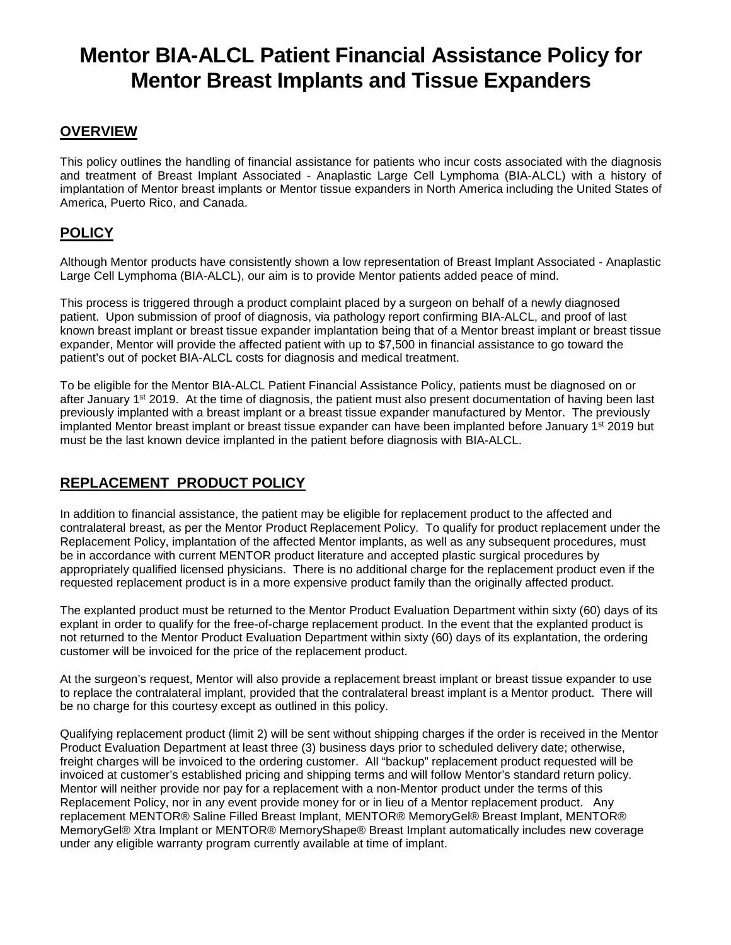# **Mentor BIA-ALCL Patient Financial Assistance Policy for Mentor Breast Implants and Tissue Expanders**

#### **OVERVIEW**

This policy outlines the handling of financial assistance for patients who incur costs associated with the diagnosis and treatment of Breast Implant Associated - Anaplastic Large Cell Lymphoma (BIA-ALCL) with a history of implantation of Mentor breast implants or Mentor tissue expanders in North America including the United States of America, Puerto Rico, and Canada.

### **POLICY**

Although Mentor products have consistently shown a low representation of Breast Implant Associated - Anaplastic Large Cell Lymphoma (BIA-ALCL), our aim is to provide Mentor patients added peace of mind.

This process is triggered through a product complaint placed by a surgeon on behalf of a newly diagnosed patient. Upon submission of proof of diagnosis, via pathology report confirming BIA-ALCL, and proof of last known breast implant or breast tissue expander implantation being that of a Mentor breast implant or breast tissue expander, Mentor will provide the affected patient with up to \$7,500 in financial assistance to go toward the patient's out of pocket BIA-ALCL costs for diagnosis and medical treatment.

To be eligible for the Mentor BIA-ALCL Patient Financial Assistance Policy, patients must be diagnosed on or after January  $1<sup>st</sup>$  2019. At the time of diagnosis, the patient must also present documentation of having been last previously implanted with a breast implant or a breast tissue expander manufactured by Mentor. The previously implanted Mentor breast implant or breast tissue expander can have been implanted before January 1<sup>st</sup> 2019 but must be the last known device implanted in the patient before diagnosis with BIA-ALCL.

## **REPLACEMENT PRODUCT POLICY**

In addition to financial assistance, the patient may be eligible for replacement product to the affected and contralateral breast, as per the Mentor Product Replacement Policy. To qualify for product replacement under the Replacement Policy, implantation of the affected Mentor implants, as well as any subsequent procedures, must be in accordance with current MENTOR product literature and accepted plastic surgical procedures by appropriately qualified licensed physicians. There is no additional charge for the replacement product even if the requested replacement product is in a more expensive product family than the originally affected product.

The explanted product must be returned to the Mentor Product Evaluation Department within sixty (60) days of its explant in order to qualify for the free-of-charge replacement product. In the event that the explanted product is not returned to the Mentor Product Evaluation Department within sixty (60) days of its explantation, the ordering customer will be invoiced for the price of the replacement product.

At the surgeon's request, Mentor will also provide a replacement breast implant or breast tissue expander to use to replace the contralateral implant, provided that the contralateral breast implant is a Mentor product. There will be no charge for this courtesy except as outlined in this policy.

Qualifying replacement product (limit 2) will be sent without shipping charges if the order is received in the Mentor Product Evaluation Department at least three (3) business days prior to scheduled delivery date; otherwise, freight charges will be invoiced to the ordering customer. All "backup" replacement product requested will be invoiced at customer's established pricing and shipping terms and will follow Mentor's standard return policy. Mentor will neither provide nor pay for a replacement with a non-Mentor product under the terms of this Replacement Policy, nor in any event provide money for or in lieu of a Mentor replacement product. Any replacement MENTOR® Saline Filled Breast Implant, MENTOR® MemoryGel® Breast Implant, MENTOR® MemoryGel® Xtra Implant or MENTOR® MemoryShape® Breast Implant automatically includes new coverage under any eligible warranty program currently available at time of implant.